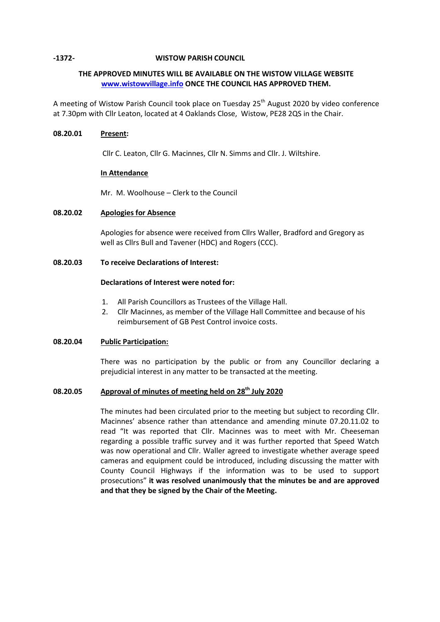## **-1372- WISTOW PARISH COUNCIL**

# **THE APPROVED MINUTES WILL BE AVAILABLE ON THE WISTOW VILLAGE WEBSITE [www.wistowvillage.info](http://www.wistowvillage.info/) ONCE THE COUNCIL HAS APPROVED THEM.**

A meeting of Wistow Parish Council took place on Tuesday 25<sup>th</sup> August 2020 by video conference at 7.30pm with Cllr Leaton, located at 4 Oaklands Close, Wistow, PE28 2QS in the Chair.

# **08.20.01 Present:**

Cllr C. Leaton, Cllr G. Macinnes, Cllr N. Simms and Cllr. J. Wiltshire.

# **In Attendance**

Mr. M. Woolhouse – Clerk to the Council

# **08.20.02 Apologies for Absence**

Apologies for absence were received from Cllrs Waller, Bradford and Gregory as well as Cllrs Bull and Tavener (HDC) and Rogers (CCC).

# **08.20.03 To receive Declarations of Interest:**

# **Declarations of Interest were noted for:**

- 1. All Parish Councillors as Trustees of the Village Hall.
- 2. Cllr Macinnes, as member of the Village Hall Committee and because of his reimbursement of GB Pest Control invoice costs.

# **08.20.04 Public Participation:**

There was no participation by the public or from any Councillor declaring a prejudicial interest in any matter to be transacted at the meeting.

# **08.20.05 Approval of minutes of meeting held on 28th July 2020**

The minutes had been circulated prior to the meeting but subject to recording Cllr. Macinnes' absence rather than attendance and amending minute 07.20.11.02 to read "It was reported that Cllr. Macinnes was to meet with Mr. Cheeseman regarding a possible traffic survey and it was further reported that Speed Watch was now operational and Cllr. Waller agreed to investigate whether average speed cameras and equipment could be introduced, including discussing the matter with County Council Highways if the information was to be used to support prosecutions" **it was resolved unanimously that the minutes be and are approved and that they be signed by the Chair of the Meeting.**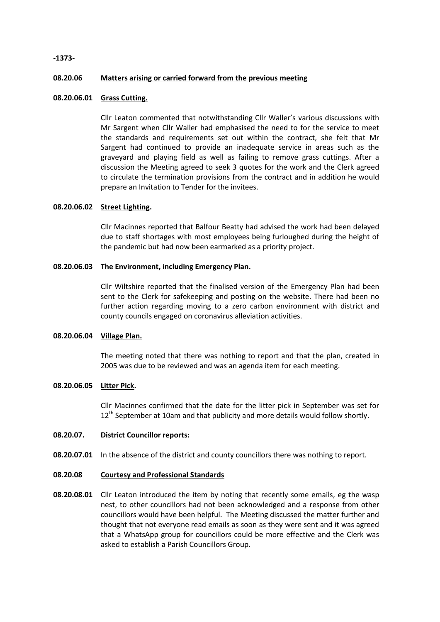### **-1373-**

#### **08.20.06 Matters arising or carried forward from the previous meeting**

### **08.20.06.01 Grass Cutting.**

Cllr Leaton commented that notwithstanding Cllr Waller's various discussions with Mr Sargent when Cllr Waller had emphasised the need to for the service to meet the standards and requirements set out within the contract, she felt that Mr Sargent had continued to provide an inadequate service in areas such as the graveyard and playing field as well as failing to remove grass cuttings. After a discussion the Meeting agreed to seek 3 quotes for the work and the Clerk agreed to circulate the termination provisions from the contract and in addition he would prepare an Invitation to Tender for the invitees.

## **08.20.06.02 Street Lighting.**

Cllr Macinnes reported that Balfour Beatty had advised the work had been delayed due to staff shortages with most employees being furloughed during the height of the pandemic but had now been earmarked as a priority project.

### **08.20.06.03 The Environment, including Emergency Plan.**

Cllr Wiltshire reported that the finalised version of the Emergency Plan had been sent to the Clerk for safekeeping and posting on the website. There had been no further action regarding moving to a zero carbon environment with district and county councils engaged on coronavirus alleviation activities.

### **08.20.06.04 Village Plan.**

The meeting noted that there was nothing to report and that the plan, created in 2005 was due to be reviewed and was an agenda item for each meeting.

### **08.20.06.05 Litter Pick.**

Cllr Macinnes confirmed that the date for the litter pick in September was set for 12<sup>th</sup> September at 10am and that publicity and more details would follow shortly.

#### **08.20.07. District Councillor reports:**

08.20.07.01 In the absence of the district and county councillors there was nothing to report.

#### **08.20.08 Courtesy and Professional Standards**

**08.20.08.01** Cllr Leaton introduced the item by noting that recently some emails, eg the wasp nest, to other councillors had not been acknowledged and a response from other councillors would have been helpful. The Meeting discussed the matter further and thought that not everyone read emails as soon as they were sent and it was agreed that a WhatsApp group for councillors could be more effective and the Clerk was asked to establish a Parish Councillors Group.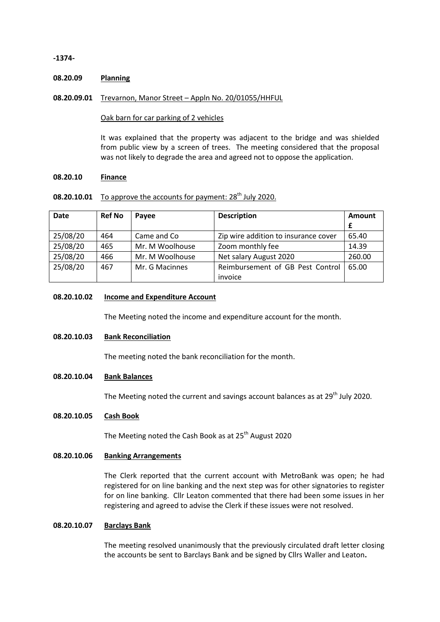### **-1374-**

#### **08.20.09 Planning**

## **08.20.09.01** Trevarnon, Manor Street – Appln No. 20/01055/HHFUL

### Oak barn for car parking of 2 vehicles

It was explained that the property was adjacent to the bridge and was shielded from public view by a screen of trees. The meeting considered that the proposal was not likely to degrade the area and agreed not to oppose the application.

#### **08.20.10 Finance**

# 08.20.10.01 To approve the accounts for payment: 28<sup>th</sup> July 2020.

| <b>Date</b> | <b>Ref No</b> | Payee           | <b>Description</b>                   | Amount |
|-------------|---------------|-----------------|--------------------------------------|--------|
|             |               |                 |                                      |        |
| 25/08/20    | 464           | Came and Co     | Zip wire addition to insurance cover | 65.40  |
| 25/08/20    | 465           | Mr. M Woolhouse | Zoom monthly fee                     | 14.39  |
| 25/08/20    | 466           | Mr. M Woolhouse | Net salary August 2020               | 260.00 |
| 25/08/20    | 467           | Mr. G Macinnes  | Reimbursement of GB Pest Control     | 65.00  |
|             |               |                 | invoice                              |        |

# **08.20.10.02 Income and Expenditure Account**

The Meeting noted the income and expenditure account for the month.

# **08.20.10.03 Bank Reconciliation**

The meeting noted the bank reconciliation for the month.

# **08.20.10.04 Bank Balances**

The Meeting noted the current and savings account balances as at 29<sup>th</sup> July 2020.

# **08.20.10.05 Cash Book**

The Meeting noted the Cash Book as at 25<sup>th</sup> August 2020

### **08.20.10.06 Banking Arrangements**

The Clerk reported that the current account with MetroBank was open; he had registered for on line banking and the next step was for other signatories to register for on line banking. Cllr Leaton commented that there had been some issues in her registering and agreed to advise the Clerk if these issues were not resolved.

### **08.20.10.07 Barclays Bank**

The meeting resolved unanimously that the previously circulated draft letter closing the accounts be sent to Barclays Bank and be signed by Cllrs Waller and Leaton**.**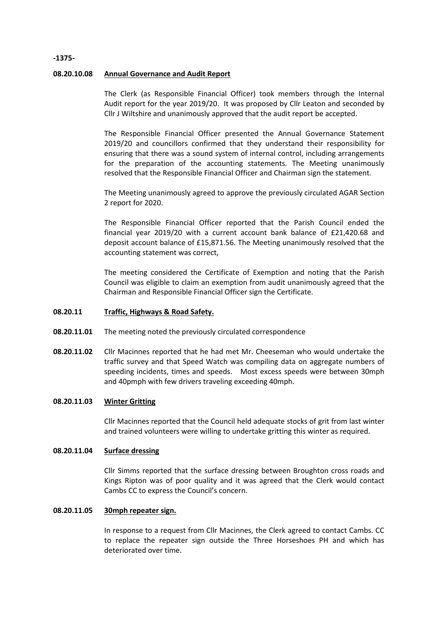### **08.20.10.08 Annual Governance and Audit Report**

The Clerk (as Responsible Financial Officer) took members through the Internal Audit report for the year 2019/20. It was proposed by Cllr Leaton and seconded by Cllr J Wiltshire and unanimously approved that the audit report be accepted.

The Responsible Financial Officer presented the Annual Governance Statement 2019/20 and councillors confirmed that they understand their responsibility for ensuring that there was a sound system of internal control, including arrangements for the preparation of the accounting statements. The Meeting unanimously resolved that the Responsible Financial Officer and Chairman sign the statement.

The Meeting unanimously agreed to approve the previously circulated AGAR Section 2 report for 2020.

The Responsible Financial Officer reported that the Parish Council ended the financial year 2019/20 with a current account bank balance of £21,420.68 and deposit account balance of £15,871.56. The Meeting unanimously resolved that the accounting statement was correct,

The meeting considered the Certificate of Exemption and noting that the Parish Council was eligible to claim an exemption from audit unanimously agreed that the Chairman and Responsible Financial Officer sign the Certificate.

#### **08.20.11 Traffic, Highways & Road Safety.**

- **08.20.11.01** The meeting noted the previously circulated correspondence
- **08.20.11.02** Cllr Macinnes reported that he had met Mr. Cheeseman who would undertake the traffic survey and that Speed Watch was compiling data on aggregate numbers of speeding incidents, times and speeds. Most excess speeds were between 30mph and 40pmph with few drivers traveling exceeding 40mph.

#### **08.20.11.03 Winter Gritting**

Cllr Macinnes reported that the Council held adequate stocks of grit from last winter and trained volunteers were willing to undertake gritting this winter as required.

#### **08.20.11.04 Surface dressing**

Cllr Simms reported that the surface dressing between Broughton cross roads and Kings Ripton was of poor quality and it was agreed that the Clerk would contact Cambs CC to express the Council's concern.

#### **08.20.11.05 30mph repeater sign.**

In response to a request from Cllr Macinnes, the Clerk agreed to contact Cambs. CC to replace the repeater sign outside the Three Horseshoes PH and which has deteriorated over time.

### **-1375-**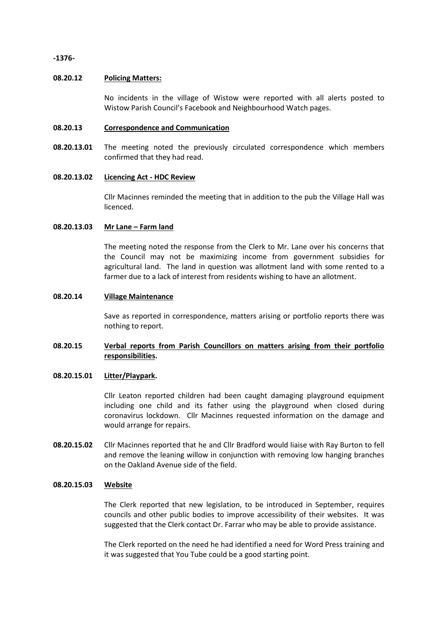**-1376-**

### **08.20.12 Policing Matters:**

No incidents in the village of Wistow were reported with all alerts posted to Wistow Parish Council's Facebook and Neighbourhood Watch pages.

#### **08.20.13 Correspondence and Communication**

**08.20.13.01** The meeting noted the previously circulated correspondence which members confirmed that they had read.

#### **08.20.13.02 Licencing Act - HDC Review**

Cllr Macinnes reminded the meeting that in addition to the pub the Village Hall was licenced.

#### **08.20.13.03 Mr Lane – Farm land**

The meeting noted the response from the Clerk to Mr. Lane over his concerns that the Council may not be maximizing income from government subsidies for agricultural land. The land in question was allotment land with some rented to a farmer due to a lack of interest from residents wishing to have an allotment.

### **08.20.14 Village Maintenance**

Save as reported in correspondence, matters arising or portfolio reports there was nothing to report.

# **08.20.15 Verbal reports from Parish Councillors on matters arising from their portfolio responsibilities.**

# **08.20.15.01 Litter/Playpark.**

Cllr Leaton reported children had been caught damaging playground equipment including one child and its father using the playground when closed during coronavirus lockdown. Cllr Macinnes requested information on the damage and would arrange for repairs.

**08.20.15.02** Cllr Macinnes reported that he and Cllr Bradford would liaise with Ray Burton to fell and remove the leaning willow in conjunction with removing low hanging branches on the Oakland Avenue side of the field.

### **08.20.15.03 Website**

The Clerk reported that new legislation, to be introduced in September, requires councils and other public bodies to improve accessibility of their websites. It was suggested that the Clerk contact Dr. Farrar who may be able to provide assistance.

The Clerk reported on the need he had identified a need for Word Press training and it was suggested that You Tube could be a good starting point.